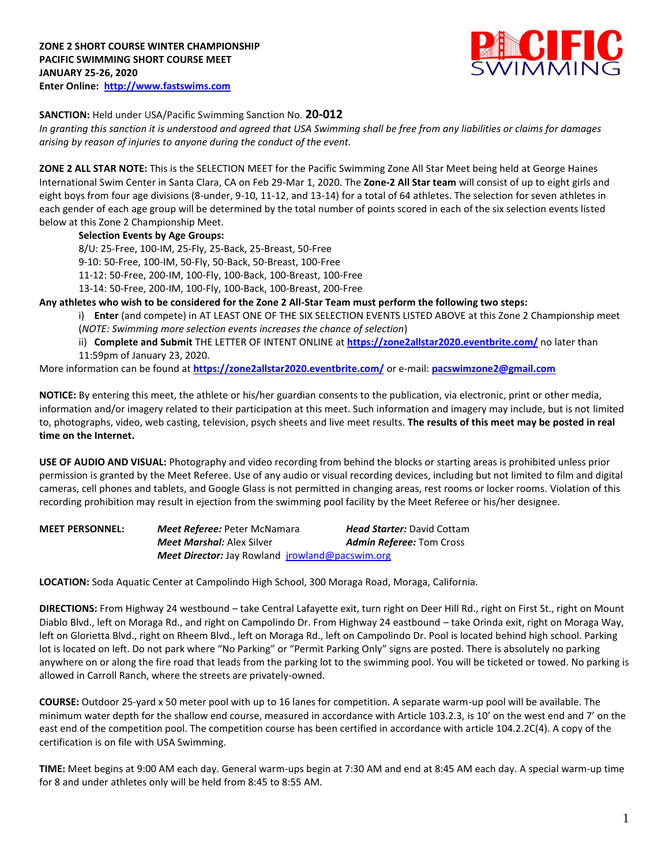

# **SANCTION:** Held under USA/Pacific Swimming Sanction No. **20-012**

*In granting this sanction it is understood and agreed that USA Swimming shall be free from any liabilities or claims for damages arising by reason of injuries to anyone during the conduct of the event.*

**ZONE 2 ALL STAR NOTE:** This is the SELECTION MEET for the Pacific Swimming Zone All Star Meet being held at George Haines International Swim Center in Santa Clara, CA on Feb 29-Mar 1, 2020. The **Zone-2 All Star team** will consist of up to eight girls and eight boys from four age divisions (8-under, 9-10, 11-12, and 13-14) for a total of 64 athletes. The selection for seven athletes in each gender of each age group will be determined by the total number of points scored in each of the six selection events listed below at this Zone 2 Championship Meet.

**Selection Events by Age Groups:**

8/U: 25-Free, 100-IM, 25-Fly, 25-Back, 25-Breast, 50-Free

9-10: 50-Free, 100-IM, 50-Fly, 50-Back, 50-Breast, 100-Free

11-12: 50-Free, 200-IM, 100-Fly, 100-Back, 100-Breast, 100-Free

13-14: 50-Free, 200-IM, 100-Fly, 100-Back, 100-Breast, 200-Free

**Any athletes who wish to be considered for the Zone 2 All-Star Team must perform the following two steps:**

i) **Enter** (and compete) in AT LEAST ONE OF THE SIX SELECTION EVENTS LISTED ABOVE at this Zone 2 Championship meet (*NOTE: Swimming more selection events increases the chance of selection*)

ii) **Complete and Submit** THE LETTER OF INTENT ONLINE at **<https://zone2allstar2020.eventbrite.com/>** no later than 11:59pm of January 23, 2020.

More information can be found at **<https://zone2allstar2020.eventbrite.com/>** or e-mail: **[pacswimzone2@gmail.com](mailto:pacswimzone2@gmail.com)**

**NOTICE:** By entering this meet, the athlete or his/her guardian consents to the publication, via electronic, print or other media, information and/or imagery related to their participation at this meet. Such information and imagery may include, but is not limited to, photographs, video, web casting, television, psych sheets and live meet results. **The results of this meet may be posted in real time on the Internet.**

**USE OF AUDIO AND VISUAL:** Photography and video recording from behind the blocks or starting areas is prohibited unless prior permission is granted by the Meet Referee. Use of any audio or visual recording devices, including but not limited to film and digital cameras, cell phones and tablets, and Google Glass is not permitted in changing areas, rest rooms or locker rooms. Violation of this recording prohibition may result in ejection from the swimming pool facility by the Meet Referee or his/her designee.

**MEET PERSONNEL:** *Meet Referee:* Peter McNamara *Head Starter:* David Cottam *Meet Marshal:* Alex Silver *Admin Referee:* Tom Cross *Meet Director:* Jay Rowland [jrowland@pacswim.org](mailto:jrowland@pacswim.org)

**LOCATION:** Soda Aquatic Center at Campolindo High School, 300 Moraga Road, Moraga, California.

**DIRECTIONS:** From Highway 24 westbound – take Central Lafayette exit, turn right on Deer Hill Rd., right on First St., right on Mount Diablo Blvd., left on Moraga Rd., and right on Campolindo Dr. From Highway 24 eastbound – take Orinda exit, right on Moraga Way, left on Glorietta Blvd., right on Rheem Blvd., left on Moraga Rd., left on Campolindo Dr. Pool is located behind high school. Parking lot is located on left. Do not park where "No Parking" or "Permit Parking Only" signs are posted. There is absolutely no parking anywhere on or along the fire road that leads from the parking lot to the swimming pool. You will be ticketed or towed. No parking is allowed in Carroll Ranch, where the streets are privately-owned.

**COURSE:** Outdoor 25-yard x 50 meter pool with up to 16 lanes for competition. A separate warm-up pool will be available. The minimum water depth for the shallow end course, measured in accordance with Article 103.2.3, is 10' on the west end and 7' on the east end of the competition pool. The competition course has been certified in accordance with article 104.2.2C(4). A copy of the certification is on file with USA Swimming.

**TIME:** Meet begins at 9:00 AM each day. General warm-ups begin at 7:30 AM and end at 8:45 AM each day. A special warm-up time for 8 and under athletes only will be held from 8:45 to 8:55 AM.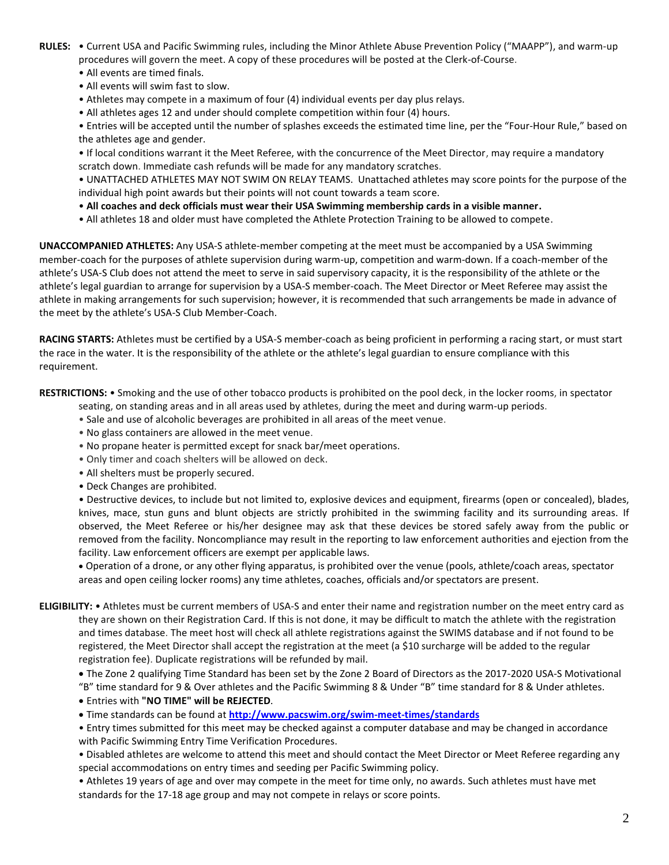- **RULES:** Current USA and Pacific Swimming rules, including the Minor Athlete Abuse Prevention Policy ("MAAPP"), and warm-up procedures will govern the meet. A copy of these procedures will be posted at the Clerk-of-Course.
	- All events are timed finals.
	- All events will swim fast to slow.
	- Athletes may compete in a maximum of four (4) individual events per day plus relays.
	- All athletes ages 12 and under should complete competition within four (4) hours.

• Entries will be accepted until the number of splashes exceeds the estimated time line, per the "Four-Hour Rule," based on the athletes age and gender.

• If local conditions warrant it the Meet Referee, with the concurrence of the Meet Director, may require a mandatory scratch down. Immediate cash refunds will be made for any mandatory scratches.

• UNATTACHED ATHLETES MAY NOT SWIM ON RELAY TEAMS. Unattached athletes may score points for the purpose of the individual high point awards but their points will not count towards a team score.

- **All coaches and deck officials must wear their USA Swimming membership cards in a visible manner.**
- All athletes 18 and older must have completed the Athlete Protection Training to be allowed to compete.

**UNACCOMPANIED ATHLETES:** Any USA-S athlete-member competing at the meet must be accompanied by a USA Swimming member-coach for the purposes of athlete supervision during warm-up, competition and warm-down. If a coach-member of the athlete's USA-S Club does not attend the meet to serve in said supervisory capacity, it is the responsibility of the athlete or the athlete's legal guardian to arrange for supervision by a USA-S member-coach. The Meet Director or Meet Referee may assist the athlete in making arrangements for such supervision; however, it is recommended that such arrangements be made in advance of the meet by the athlete's USA-S Club Member-Coach.

**RACING STARTS:** Athletes must be certified by a USA-S member-coach as being proficient in performing a racing start, or must start the race in the water. It is the responsibility of the athlete or the athlete's legal guardian to ensure compliance with this requirement.

**RESTRICTIONS:** • Smoking and the use of other tobacco products is prohibited on the pool deck, in the locker rooms, in spectator

- seating, on standing areas and in all areas used by athletes, during the meet and during warm-up periods.
- Sale and use of alcoholic beverages are prohibited in all areas of the meet venue.
- No glass containers are allowed in the meet venue.
- No propane heater is permitted except for snack bar/meet operations.
- Only timer and coach shelters will be allowed on deck.
- All shelters must be properly secured.
- Deck Changes are prohibited.

• Destructive devices, to include but not limited to, explosive devices and equipment, firearms (open or concealed), blades, knives, mace, stun guns and blunt objects are strictly prohibited in the swimming facility and its surrounding areas. If observed, the Meet Referee or his/her designee may ask that these devices be stored safely away from the public or removed from the facility. Noncompliance may result in the reporting to law enforcement authorities and ejection from the facility. Law enforcement officers are exempt per applicable laws.

 Operation of a drone, or any other flying apparatus, is prohibited over the venue (pools, athlete/coach areas, spectator areas and open ceiling locker rooms) any time athletes, coaches, officials and/or spectators are present.

**ELIGIBILITY:** • Athletes must be current members of USA-S and enter their name and registration number on the meet entry card as they are shown on their Registration Card. If this is not done, it may be difficult to match the athlete with the registration and times database. The meet host will check all athlete registrations against the SWIMS database and if not found to be registered, the Meet Director shall accept the registration at the meet (a \$10 surcharge will be added to the regular registration fee). Duplicate registrations will be refunded by mail.

 The Zone 2 qualifying Time Standard has been set by the Zone 2 Board of Directors as the 2017-2020 USA-S Motivational "B" time standard for 9 & Over athletes and the Pacific Swimming 8 & Under "B" time standard for 8 & Under athletes.

- Entries with **"NO TIME" will be REJECTED**.
- Time standards can be found at **<http://www.pacswim.org/swim-meet-times/standards>**

• Entry times submitted for this meet may be checked against a computer database and may be changed in accordance with Pacific Swimming Entry Time Verification Procedures.

• Disabled athletes are welcome to attend this meet and should contact the Meet Director or Meet Referee regarding any special accommodations on entry times and seeding per Pacific Swimming policy.

• Athletes 19 years of age and over may compete in the meet for time only, no awards. Such athletes must have met standards for the 17-18 age group and may not compete in relays or score points.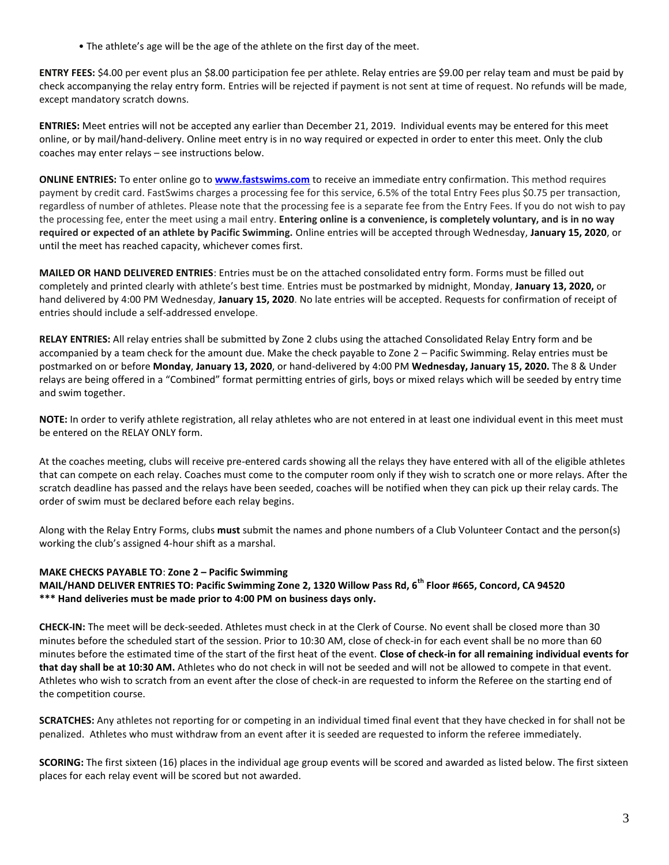• The athlete's age will be the age of the athlete on the first day of the meet.

**ENTRY FEES:** \$4.00 per event plus an \$8.00 participation fee per athlete. Relay entries are \$9.00 per relay team and must be paid by check accompanying the relay entry form. Entries will be rejected if payment is not sent at time of request. No refunds will be made, except mandatory scratch downs.

**ENTRIES:** Meet entries will not be accepted any earlier than December 21, 2019. Individual events may be entered for this meet online, or by mail/hand-delivery. Online meet entry is in no way required or expected in order to enter this meet. Only the club coaches may enter relays – see instructions below.

**ONLINE ENTRIES:** To enter online go to **[www.fastswims.com](http://www.fastswims.com/)** to receive an immediate entry confirmation. This method requires payment by credit card. FastSwims charges a processing fee for this service, 6.5% of the total Entry Fees plus \$0.75 per transaction, regardless of number of athletes. Please note that the processing fee is a separate fee from the Entry Fees. If you do not wish to pay the processing fee, enter the meet using a mail entry. **Entering online is a convenience, is completely voluntary, and is in no way required or expected of an athlete by Pacific Swimming.** Online entries will be accepted through Wednesday, **January 15, 2020**, or until the meet has reached capacity, whichever comes first.

**MAILED OR HAND DELIVERED ENTRIES**: Entries must be on the attached consolidated entry form. Forms must be filled out completely and printed clearly with athlete's best time. Entries must be postmarked by midnight, Monday, **January 13, 2020,** or hand delivered by 4:00 PM Wednesday, **January 15, 2020**. No late entries will be accepted. Requests for confirmation of receipt of entries should include a self-addressed envelope.

**RELAY ENTRIES:** All relay entries shall be submitted by Zone 2 clubs using the attached Consolidated Relay Entry form and be accompanied by a team check for the amount due. Make the check payable to Zone 2 – Pacific Swimming. Relay entries must be postmarked on or before **Monday**, **January 13, 2020**, or hand-delivered by 4:00 PM **Wednesday, January 15, 2020.** The 8 & Under relays are being offered in a "Combined" format permitting entries of girls, boys or mixed relays which will be seeded by entry time and swim together.

**NOTE:** In order to verify athlete registration, all relay athletes who are not entered in at least one individual event in this meet must be entered on the RELAY ONLY form.

At the coaches meeting, clubs will receive pre-entered cards showing all the relays they have entered with all of the eligible athletes that can compete on each relay. Coaches must come to the computer room only if they wish to scratch one or more relays. After the scratch deadline has passed and the relays have been seeded, coaches will be notified when they can pick up their relay cards. The order of swim must be declared before each relay begins.

Along with the Relay Entry Forms, clubs **must** submit the names and phone numbers of a Club Volunteer Contact and the person(s) working the club's assigned 4-hour shift as a marshal.

#### **MAKE CHECKS PAYABLE TO**: **Zone 2 – Pacific Swimming**

**MAIL/HAND DELIVER ENTRIES TO: Pacific Swimming Zone 2, 1320 Willow Pass Rd, 6th Floor #665, Concord, CA 94520 \*\*\* Hand deliveries must be made prior to 4:00 PM on business days only.**

**CHECK-IN:** The meet will be deck-seeded. Athletes must check in at the Clerk of Course. No event shall be closed more than 30 minutes before the scheduled start of the session. Prior to 10:30 AM, close of check-in for each event shall be no more than 60 minutes before the estimated time of the start of the first heat of the event. **Close of check-in for all remaining individual events for that day shall be at 10:30 AM.** Athletes who do not check in will not be seeded and will not be allowed to compete in that event. Athletes who wish to scratch from an event after the close of check-in are requested to inform the Referee on the starting end of the competition course.

**SCRATCHES:** Any athletes not reporting for or competing in an individual timed final event that they have checked in for shall not be penalized. Athletes who must withdraw from an event after it is seeded are requested to inform the referee immediately.

**SCORING:** The first sixteen (16) places in the individual age group events will be scored and awarded as listed below. The first sixteen places for each relay event will be scored but not awarded.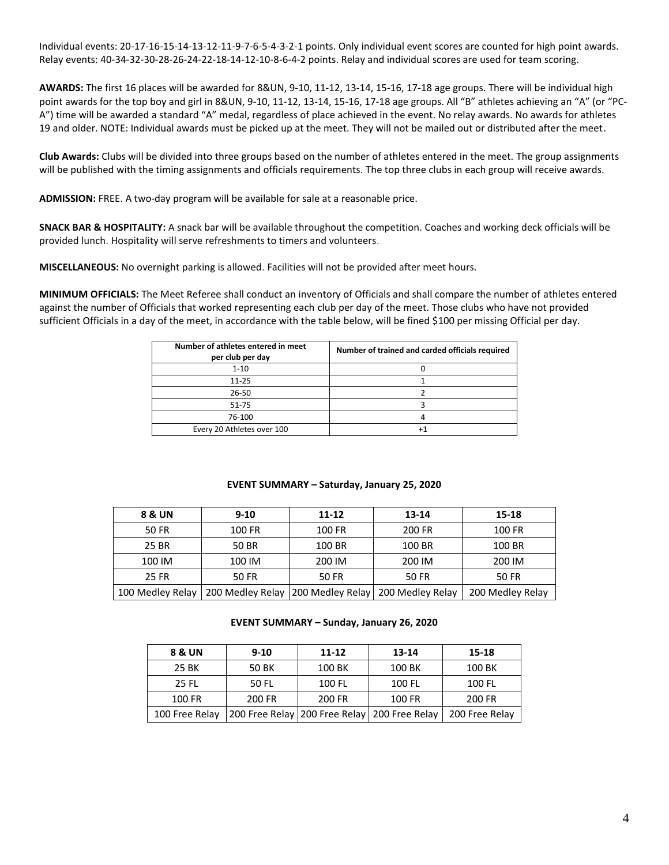Individual events: 20-17-16-15-14-13-12-11-9-7-6-5-4-3-2-1 points. Only individual event scores are counted for high point awards. Relay events: 40-34-32-30-28-26-24-22-18-14-12-10-8-6-4-2 points. Relay and individual scores are used for team scoring.

**AWARDS:** The first 16 places will be awarded for 8&UN, 9-10, 11-12, 13-14, 15-16, 17-18 age groups. There will be individual high point awards for the top boy and girl in 8&UN, 9-10, 11-12, 13-14, 15-16, 17-18 age groups. All "B" athletes achieving an "A" (or "PC-A") time will be awarded a standard "A" medal, regardless of place achieved in the event. No relay awards. No awards for athletes 19 and older. NOTE: Individual awards must be picked up at the meet. They will not be mailed out or distributed after the meet.

**Club Awards:** Clubs will be divided into three groups based on the number of athletes entered in the meet. The group assignments will be published with the timing assignments and officials requirements. The top three clubs in each group will receive awards.

**ADMISSION:** FREE. A two-day program will be available for sale at a reasonable price.

**SNACK BAR & HOSPITALITY:** A snack bar will be available throughout the competition. Coaches and working deck officials will be provided lunch. Hospitality will serve refreshments to timers and volunteers.

**MISCELLANEOUS:** No overnight parking is allowed. Facilities will not be provided after meet hours.

**MINIMUM OFFICIALS:** The Meet Referee shall conduct an inventory of Officials and shall compare the number of athletes entered against the number of Officials that worked representing each club per day of the meet. Those clubs who have not provided sufficient Officials in a day of the meet, in accordance with the table below, will be fined \$100 per missing Official per day.

| Number of athletes entered in meet<br>per club per day | Number of trained and carded officials required |
|--------------------------------------------------------|-------------------------------------------------|
| $1 - 10$                                               |                                                 |
| $11 - 25$                                              |                                                 |
| 26-50                                                  |                                                 |
| 51-75                                                  |                                                 |
| 76-100                                                 |                                                 |
| Every 20 Athletes over 100                             |                                                 |

## **EVENT SUMMARY – Saturday, January 25, 2020**

| 8 & UN           | $9 - 10$<br>11-12                                      |        | 13-14  | 15-18            |
|------------------|--------------------------------------------------------|--------|--------|------------------|
| 50 FR            | 100 FR                                                 | 100 FR | 200 FR | 100 FR           |
| 25 BR            | 50 BR                                                  | 100 BR | 100 BR | 100 BR           |
| 100 IM           | 100 IM                                                 | 200 IM | 200 IM | 200 IM           |
| 25 FR            | 50 FR                                                  | 50 FR  | 50 FR  | 50 FR            |
| 100 Medley Relay | 200 Medley Relay   200 Medley Relay   200 Medley Relay |        |        | 200 Medley Relay |

**EVENT SUMMARY – Sunday, January 26, 2020**

| 8 & UN         | $9 - 10$ | 11-12                                            | 13-14  | 15-18          |
|----------------|----------|--------------------------------------------------|--------|----------------|
| 25 BK          | 50 BK    | 100 BK                                           | 100 BK | 100 BK         |
| 25 FL          | 50 FL    | 100 FL                                           | 100 FL | 100 FL         |
| 100 FR         | 200 FR   | 200 FR                                           | 100 FR | 200 FR         |
| 100 Free Relay |          | 200 Free Relay   200 Free Relay   200 Free Relay |        | 200 Free Relay |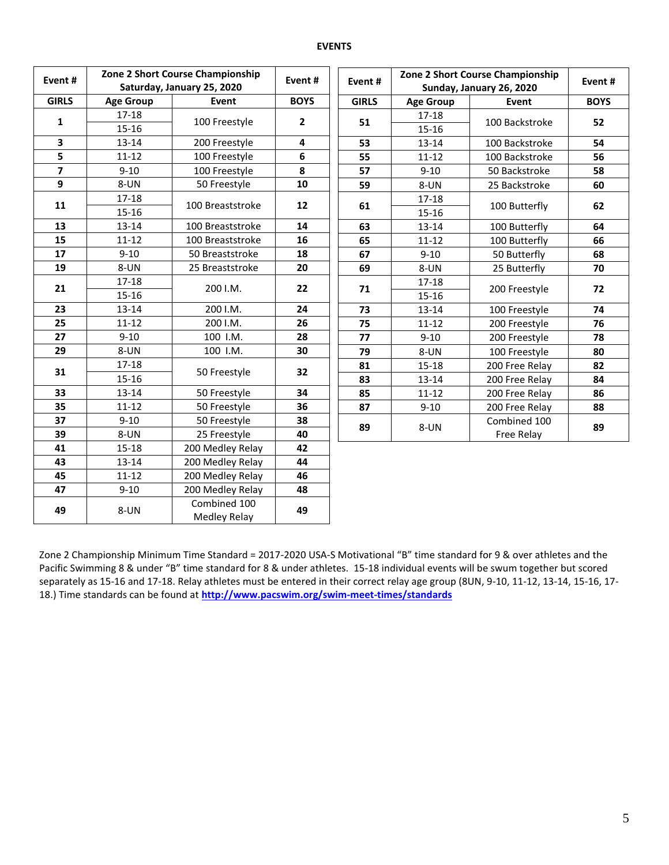#### **EVENTS**

| Event#                  |                  | Zone 2 Short Course Championship<br>Saturday, January 25, 2020 | Event#       | Event#       |                            | Zone 2 Short Course Championship<br>Sunday, January 26, 2020 | Event#      |
|-------------------------|------------------|----------------------------------------------------------------|--------------|--------------|----------------------------|--------------------------------------------------------------|-------------|
| <b>GIRLS</b>            | <b>Age Group</b> | Event                                                          | <b>BOYS</b>  | <b>GIRLS</b> | <b>Age Group</b>           | Event                                                        | <b>BOYS</b> |
|                         | $17 - 18$        |                                                                |              |              | $17 - 18$                  |                                                              |             |
| 1                       | $15 - 16$        | 100 Freestyle                                                  | $\mathbf{2}$ | 51           | $15 - 16$                  | 100 Backstroke                                               | 52          |
| $\overline{\mathbf{3}}$ | $13 - 14$        | 200 Freestyle                                                  | 4            | 53           | 13-14                      | 100 Backstroke                                               | 54          |
| 5                       | $11 - 12$        | 100 Freestyle                                                  | 6            | 55           | $11 - 12$                  | 100 Backstroke                                               | 56          |
| $\overline{\mathbf{z}}$ | $9 - 10$         | 100 Freestyle                                                  | 8            | 57           | $9 - 10$                   | 50 Backstroke                                                | 58          |
| 9                       | 8-UN             | 50 Freestyle                                                   | 10           | 59           | 8-UN                       | 25 Backstroke                                                | 60          |
|                         | $17 - 18$        | 100 Breaststroke                                               | 12           |              | $17 - 18$                  |                                                              |             |
| 11                      | $15 - 16$        |                                                                |              | 61           | 15-16                      | 100 Butterfly                                                | 62          |
| 13                      | $13 - 14$        | 100 Breaststroke                                               | 14           | 63           | $13 - 14$                  | 100 Butterfly                                                | 64          |
| 15                      | $11 - 12$        | 100 Breaststroke                                               | 16           | 65           | $11 - 12$<br>100 Butterfly |                                                              | 66          |
| 17                      | $9 - 10$         | 50 Breaststroke                                                | 18<br>67     |              | $9 - 10$                   | 50 Butterfly                                                 | 68          |
| 19                      | 8-UN             | 25 Breaststroke                                                | 20           | 69           | 8-UN                       | 25 Butterfly                                                 | 70          |
|                         | $17 - 18$        | 200 I.M.                                                       |              |              | $17 - 18$                  |                                                              |             |
| 21                      | $15 - 16$        |                                                                | 22           | 71           | $15 - 16$                  | 200 Freestyle                                                | 72          |
| 23                      | $13 - 14$        | 200 I.M.                                                       | 24           | 73           | $13 - 14$                  | 100 Freestyle                                                | 74          |
| 25                      | $11 - 12$        | 200 I.M.                                                       | 26           | 75           | $11 - 12$                  | 200 Freestyle                                                | 76          |
| 27                      | $9 - 10$         | 100 I.M.                                                       | 28           | 77           | $9 - 10$                   | 200 Freestyle                                                | 78          |
| 29                      | 8-UN             | 100 I.M.                                                       | 30           | 79           | 8-UN                       | 100 Freestyle                                                | 80          |
| 31                      | $17 - 18$        |                                                                | 32           | 81           | $15 - 18$                  | 200 Free Relay                                               | 82          |
|                         | $15 - 16$        | 50 Freestyle                                                   |              | 83           | $13 - 14$                  | 200 Free Relay                                               | 84          |
| 33                      | 13-14            | 50 Freestyle                                                   | 34           | 85           | $11 - 12$                  | 200 Free Relay                                               | 86          |
| 35                      | $11 - 12$        | 50 Freestyle                                                   | 36           | 87           | $9 - 10$                   | 200 Free Relay                                               | 88          |
| 37                      | $9 - 10$         | 50 Freestyle                                                   | 38           |              |                            | Combined 100                                                 |             |
| 39                      | 8-UN             | 25 Freestyle                                                   | 40           | 89           | 8-UN                       | Free Relay                                                   | 89          |
| 41                      | $15 - 18$        | 200 Medley Relay                                               | 42           |              |                            |                                                              |             |
| 43                      | $13 - 14$        | 200 Medley Relay                                               | 44           |              |                            |                                                              |             |
| 45                      | $11 - 12$        | 200 Medley Relay                                               | 46           |              |                            |                                                              |             |
| 47                      | $9 - 10$         | 200 Medley Relay                                               | 48           |              |                            |                                                              |             |
| 49                      | 8-UN             | Combined 100<br>Medley Relay                                   | 49           |              |                            |                                                              |             |

Zone 2 Championship Minimum Time Standard = 2017-2020 USA-S Motivational "B" time standard for 9 & over athletes and the Pacific Swimming 8 & under "B" time standard for 8 & under athletes. 15-18 individual events will be swum together but scored separately as 15-16 and 17-18. Relay athletes must be entered in their correct relay age group (8UN, 9-10, 11-12, 13-14, 15-16, 17- 18.) Time standards can be found at **<http://www.pacswim.org/swim-meet-times/standards>**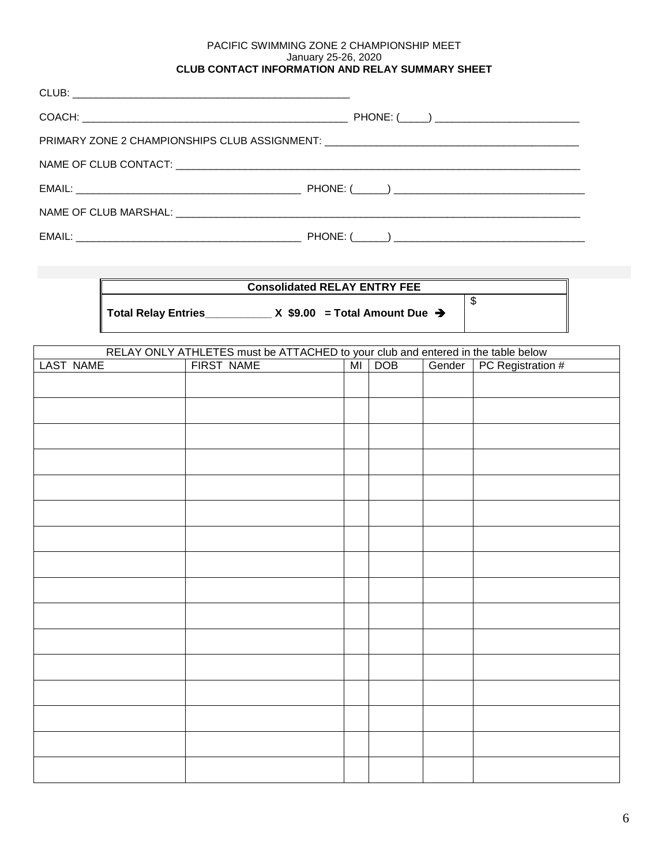### PACIFIC SWIMMING ZONE 2 CHAMPIONSHIP MEET January 25-26, 2020 **CLUB CONTACT INFORMATION AND RELAY SUMMARY SHEET**

| PRIMARY ZONE 2 CHAMPIONSHIPS CLUB ASSIGNMENT: ___________________________________ |
|-----------------------------------------------------------------------------------|
|                                                                                   |
|                                                                                   |
|                                                                                   |
|                                                                                   |

| <b>Consolidated RELAY ENTRY FEE</b>                                |  |
|--------------------------------------------------------------------|--|
| Total Relay Entries<br>$X$ \$9.00 = Total Amount Due $\rightarrow$ |  |

| RELAY ONLY ATHLETES must be ATTACHED to your club and entered in the table below<br>FIRST NAME MIDOB Gender PC Registration # |  |  |  |  |  |  |  |  |  |
|-------------------------------------------------------------------------------------------------------------------------------|--|--|--|--|--|--|--|--|--|
| LAST NAME                                                                                                                     |  |  |  |  |  |  |  |  |  |
|                                                                                                                               |  |  |  |  |  |  |  |  |  |
|                                                                                                                               |  |  |  |  |  |  |  |  |  |
|                                                                                                                               |  |  |  |  |  |  |  |  |  |
|                                                                                                                               |  |  |  |  |  |  |  |  |  |
|                                                                                                                               |  |  |  |  |  |  |  |  |  |
|                                                                                                                               |  |  |  |  |  |  |  |  |  |
|                                                                                                                               |  |  |  |  |  |  |  |  |  |
|                                                                                                                               |  |  |  |  |  |  |  |  |  |
|                                                                                                                               |  |  |  |  |  |  |  |  |  |
|                                                                                                                               |  |  |  |  |  |  |  |  |  |
|                                                                                                                               |  |  |  |  |  |  |  |  |  |
|                                                                                                                               |  |  |  |  |  |  |  |  |  |
|                                                                                                                               |  |  |  |  |  |  |  |  |  |
|                                                                                                                               |  |  |  |  |  |  |  |  |  |
|                                                                                                                               |  |  |  |  |  |  |  |  |  |
|                                                                                                                               |  |  |  |  |  |  |  |  |  |
|                                                                                                                               |  |  |  |  |  |  |  |  |  |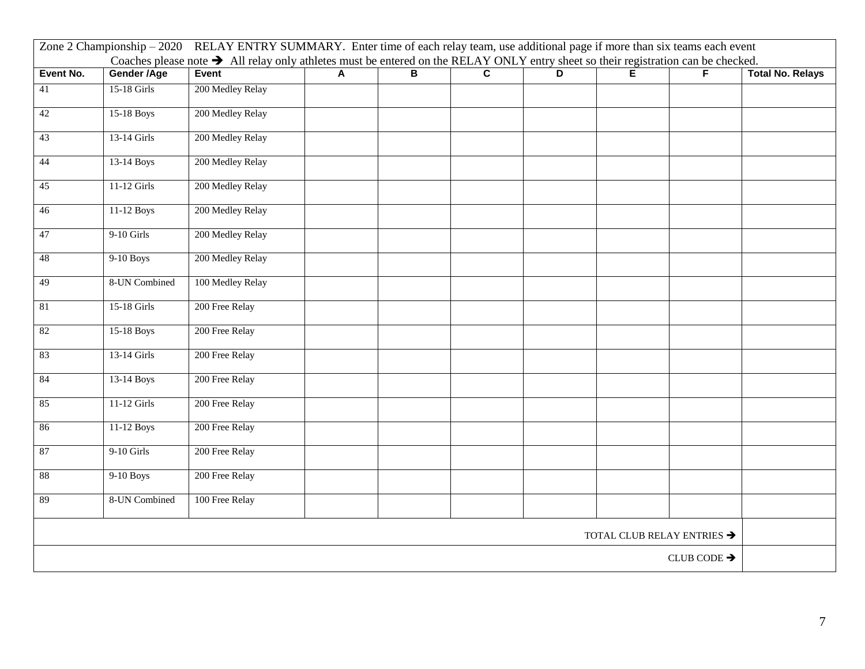| Zone 2 Championship - 2020 RELAY ENTRY SUMMARY. Enter time of each relay team, use additional page if more than six teams each event<br>Coaches please note > All relay only athletes must be entered on the RELAY ONLY entry sheet so their registration can be checked. |               |                  |   |   |                         |    |   |   |                         |
|---------------------------------------------------------------------------------------------------------------------------------------------------------------------------------------------------------------------------------------------------------------------------|---------------|------------------|---|---|-------------------------|----|---|---|-------------------------|
| Event No.                                                                                                                                                                                                                                                                 | Gender /Age   | Event            | A | B | $\overline{\mathbf{c}}$ | D. | Е | F | <b>Total No. Relays</b> |
| 41                                                                                                                                                                                                                                                                        | 15-18 Girls   | 200 Medley Relay |   |   |                         |    |   |   |                         |
| 42                                                                                                                                                                                                                                                                        | 15-18 Boys    | 200 Medley Relay |   |   |                         |    |   |   |                         |
| 43                                                                                                                                                                                                                                                                        | 13-14 Girls   | 200 Medley Relay |   |   |                         |    |   |   |                         |
| 44                                                                                                                                                                                                                                                                        | 13-14 Boys    | 200 Medley Relay |   |   |                         |    |   |   |                         |
| 45                                                                                                                                                                                                                                                                        | 11-12 Girls   | 200 Medley Relay |   |   |                         |    |   |   |                         |
| 46                                                                                                                                                                                                                                                                        | 11-12 Boys    | 200 Medley Relay |   |   |                         |    |   |   |                         |
| 47                                                                                                                                                                                                                                                                        | 9-10 Girls    | 200 Medley Relay |   |   |                         |    |   |   |                         |
| 48                                                                                                                                                                                                                                                                        | 9-10 Boys     | 200 Medley Relay |   |   |                         |    |   |   |                         |
| 49                                                                                                                                                                                                                                                                        | 8-UN Combined | 100 Medley Relay |   |   |                         |    |   |   |                         |
| 81                                                                                                                                                                                                                                                                        | 15-18 Girls   | 200 Free Relay   |   |   |                         |    |   |   |                         |
| 82                                                                                                                                                                                                                                                                        | 15-18 Boys    | 200 Free Relay   |   |   |                         |    |   |   |                         |
| 83                                                                                                                                                                                                                                                                        | 13-14 Girls   | 200 Free Relay   |   |   |                         |    |   |   |                         |
| 84                                                                                                                                                                                                                                                                        | 13-14 Boys    | 200 Free Relay   |   |   |                         |    |   |   |                         |
| 85                                                                                                                                                                                                                                                                        | 11-12 Girls   | 200 Free Relay   |   |   |                         |    |   |   |                         |
| 86                                                                                                                                                                                                                                                                        | 11-12 Boys    | 200 Free Relay   |   |   |                         |    |   |   |                         |
| 87                                                                                                                                                                                                                                                                        | 9-10 Girls    | 200 Free Relay   |   |   |                         |    |   |   |                         |
| $88\,$                                                                                                                                                                                                                                                                    | 9-10 Boys     | 200 Free Relay   |   |   |                         |    |   |   |                         |
| 89                                                                                                                                                                                                                                                                        | 8-UN Combined | 100 Free Relay   |   |   |                         |    |   |   |                         |
| TOTAL CLUB RELAY ENTRIES $\blacktriangleright$                                                                                                                                                                                                                            |               |                  |   |   |                         |    |   |   |                         |
| CLUB CODE $\rightarrow$                                                                                                                                                                                                                                                   |               |                  |   |   |                         |    |   |   |                         |